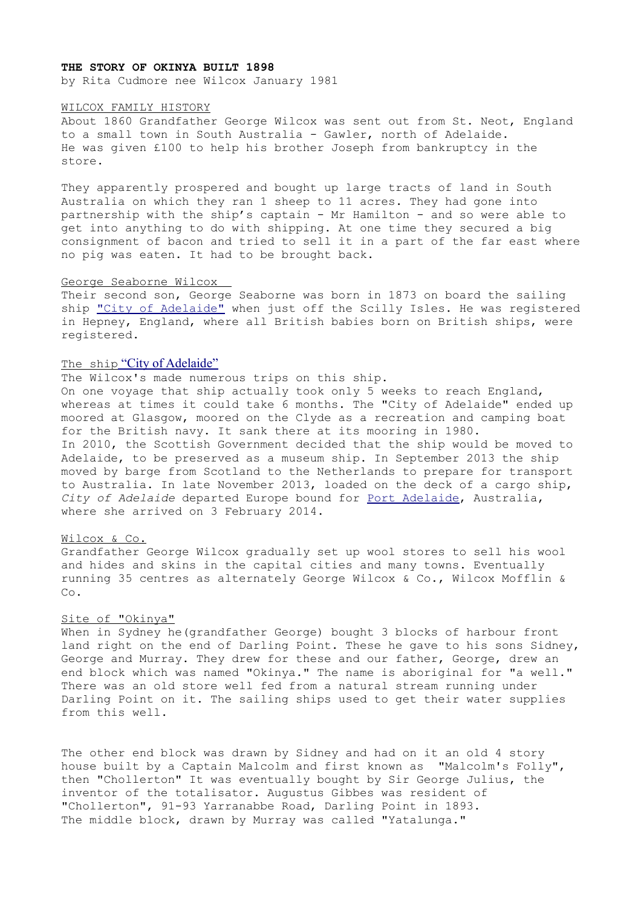## **THE STORY OF OKINYA BUILT 1898**

by Rita Cudmore nee Wilcox January 1981

#### WILCOX FAMILY HISTORY

About 1860 Grandfather George Wilcox was sent out from St. Neot, England to a small town in South Australia - Gawler, north of Adelaide. He was given £100 to help his brother Joseph from bankruptcy in the store.

They apparently prospered and bought up large tracts of land in South Australia on which they ran 1 sheep to 11 acres. They had gone into partnership with the ship's captain - Mr Hamilton - and so were able to get into anything to do with shipping. At one time they secured a big consignment of bacon and tried to sell it in a part of the far east where no pig was eaten. It had to be brought back.

## George Seaborne Wilcox

Their second son, George Seaborne was born in 1873 on board the sailing ship ["City of Adelaide"](https://en.wikipedia.org/wiki/City_of_Adelaide_(1864)) when just off the Scilly Isles. He was registered in Hepney, England, where all British babies born on British ships, were registered.

# The ship ["City of Adelaide"](https://en.wikipedia.org/wiki/City_of_Adelaide_(1864))

The Wilcox's made numerous trips on this ship.

On one voyage that ship actually took only 5 weeks to reach England, whereas at times it could take 6 months. The "City of Adelaide" ended up moored at Glasgow, moored on the Clyde as a recreation and camping boat for the British navy. It sank there at its mooring in 1980. In 2010, the Scottish Government decided that the ship would be moved to Adelaide, to be preserved as a museum ship. In September 2013 the ship moved by barge from Scotland to the Netherlands to prepare for transport to Australia. In late November 2013, loaded on the deck of a cargo ship, *City of Adelaide* departed Europe bound for [Port Adelaide,](https://en.wikipedia.org/wiki/Port_Adelaide) Australia, where she arrived on 3 February 2014.

# Wilcox & Co.

Grandfather George Wilcox gradually set up wool stores to sell his wool and hides and skins in the capital cities and many towns. Eventually running 35 centres as alternately George Wilcox & Co., Wilcox Mofflin & Co.

## Site of "Okinya"

When in Sydney he(grandfather George) bought 3 blocks of harbour front land right on the end of Darling Point. These he gave to his sons Sidney, George and Murray. They drew for these and our father, George, drew an end block which was named "Okinya." The name is aboriginal for "a well." There was an old store well fed from a natural stream running under Darling Point on it. The sailing ships used to get their water supplies from this well.

The other end block was drawn by Sidney and had on it an old 4 story house built by a Captain Malcolm and first known as "Malcolm's Folly", then "Chollerton" It was eventually bought by Sir George Julius, the inventor of the totalisator. Augustus Gibbes was resident of "Chollerton", 91-93 Yarranabbe Road, Darling Point in 1893. The middle block, drawn by Murray was called "Yatalunga."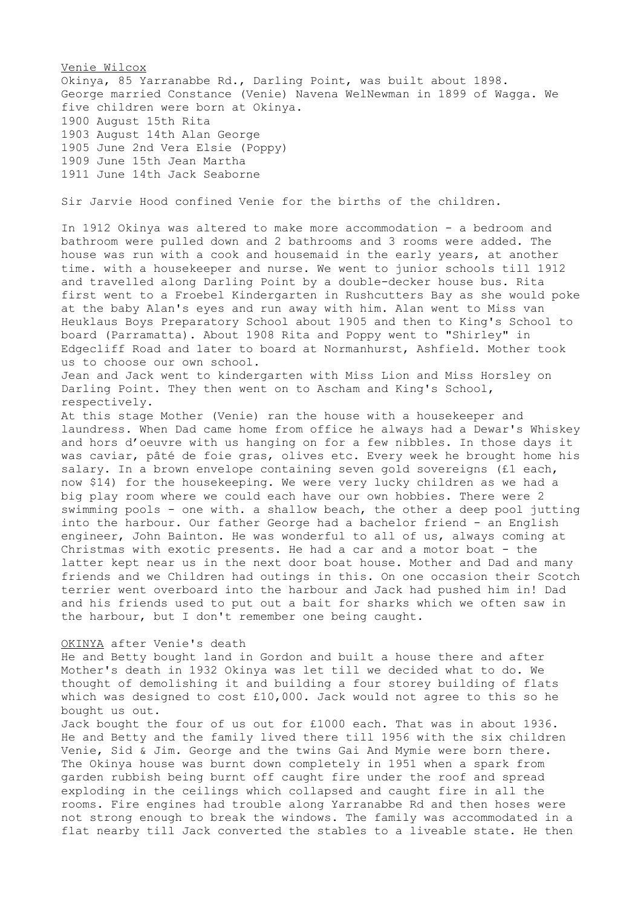Venie Wilcox Okinya, 85 Yarranabbe Rd., Darling Point, was built about 1898. George married Constance (Venie) Navena WelNewman in 1899 of Wagga. We five children were born at Okinya. 1900 August 15th Rita 1903 August 14th Alan George 1905 June 2nd Vera Elsie (Poppy) 1909 June 15th Jean Martha 1911 June 14th Jack Seaborne

Sir Jarvie Hood confined Venie for the births of the children.

In 1912 Okinya was altered to make more accommodation - a bedroom and bathroom were pulled down and 2 bathrooms and 3 rooms were added. The house was run with a cook and housemaid in the early years, at another time. with a housekeeper and nurse. We went to junior schools till 1912 and travelled along Darling Point by a double-decker house bus. Rita first went to a Froebel Kindergarten in Rushcutters Bay as she would poke at the baby Alan's eyes and run away with him. Alan went to Miss van Heuklaus Boys Preparatory School about 1905 and then to King's School to board (Parramatta). About 1908 Rita and Poppy went to "Shirley" in Edgecliff Road and later to board at Normanhurst, Ashfield. Mother took us to choose our own school.

Jean and Jack went to kindergarten with Miss Lion and Miss Horsley on Darling Point. They then went on to Ascham and King's School, respectively.

At this stage Mother (Venie) ran the house with a housekeeper and laundress. When Dad came home from office he always had a Dewar's Whiskey and hors d'oeuvre with us hanging on for a few nibbles. In those days it was caviar, pâté de foie gras, olives etc. Every week he brought home his salary. In a brown envelope containing seven gold sovereigns (£1 each, now \$14) for the housekeeping. We were very lucky children as we had a big play room where we could each have our own hobbies. There were 2 swimming pools - one with. a shallow beach, the other a deep pool jutting into the harbour. Our father George had a bachelor friend - an English engineer, John Bainton. He was wonderful to all of us, always coming at Christmas with exotic presents. He had a car and a motor boat - the latter kept near us in the next door boat house. Mother and Dad and many friends and we Children had outings in this. On one occasion their Scotch terrier went overboard into the harbour and Jack had pushed him in! Dad and his friends used to put out a bait for sharks which we often saw in the harbour, but I don't remember one being caught.

## OKINYA after Venie's death

He and Betty bought land in Gordon and built a house there and after Mother's death in 1932 Okinya was let till we decided what to do. We thought of demolishing it and building a four storey building of flats which was designed to cost £10,000. Jack would not agree to this so he bought us out.

Jack bought the four of us out for £1000 each. That was in about 1936. He and Betty and the family lived there till 1956 with the six children Venie, Sid & Jim. George and the twins Gai And Mymie were born there. The Okinya house was burnt down completely in 1951 when a spark from garden rubbish being burnt off caught fire under the roof and spread exploding in the ceilings which collapsed and caught fire in all the rooms. Fire engines had trouble along Yarranabbe Rd and then hoses were not strong enough to break the windows. The family was accommodated in a flat nearby till Jack converted the stables to a liveable state. He then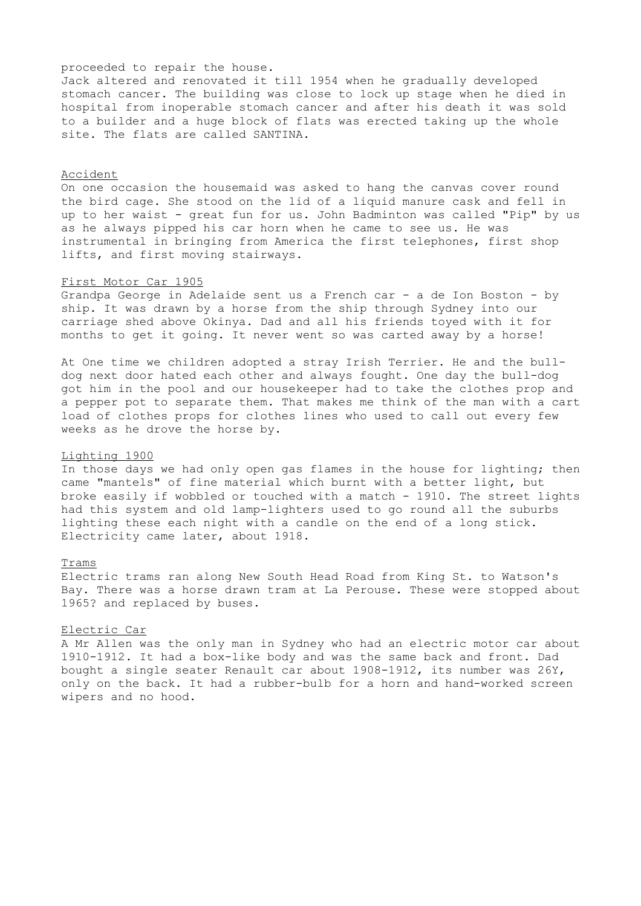## proceeded to repair the house.

Jack altered and renovated it till 1954 when he gradually developed stomach cancer. The building was close to lock up stage when he died in hospital from inoperable stomach cancer and after his death it was sold to a builder and a huge block of flats was erected taking up the whole site. The flats are called SANTINA.

# Accident

On one occasion the housemaid was asked to hang the canvas cover round the bird cage. She stood on the lid of a liquid manure cask and fell in up to her waist - great fun for us. John Badminton was called "Pip" by us as he always pipped his car horn when he came to see us. He was instrumental in bringing from America the first telephones, first shop lifts, and first moving stairways.

# First Motor Car 1905

Grandpa George in Adelaide sent us a French car - a de Ion Boston - by ship. It was drawn by a horse from the ship through Sydney into our carriage shed above Okinya. Dad and all his friends toyed with it for months to get it going. It never went so was carted away by a horse!

At One time we children adopted a stray Irish Terrier. He and the bulldog next door hated each other and always fought. One day the bull-dog got him in the pool and our housekeeper had to take the clothes prop and a pepper pot to separate them. That makes me think of the man with a cart load of clothes props for clothes lines who used to call out every few weeks as he drove the horse by.

#### Lighting 1900

In those days we had only open gas flames in the house for lighting; then came "mantels" of fine material which burnt with a better light, but broke easily if wobbled or touched with a match - 1910. The street lights had this system and old lamp-lighters used to go round all the suburbs lighting these each night with a candle on the end of a long stick. Electricity came later, about 1918.

# Trams

Electric trams ran along New South Head Road from King St. to Watson's Bay. There was a horse drawn tram at La Perouse. These were stopped about 1965? and replaced by buses.

#### Electric Car

A Mr Allen was the only man in Sydney who had an electric motor car about 1910-1912. It had a box-like body and was the same back and front. Dad bought a single seater Renault car about 1908-1912, its number was 26Y, only on the back. It had a rubber-bulb for a horn and hand-worked screen wipers and no hood.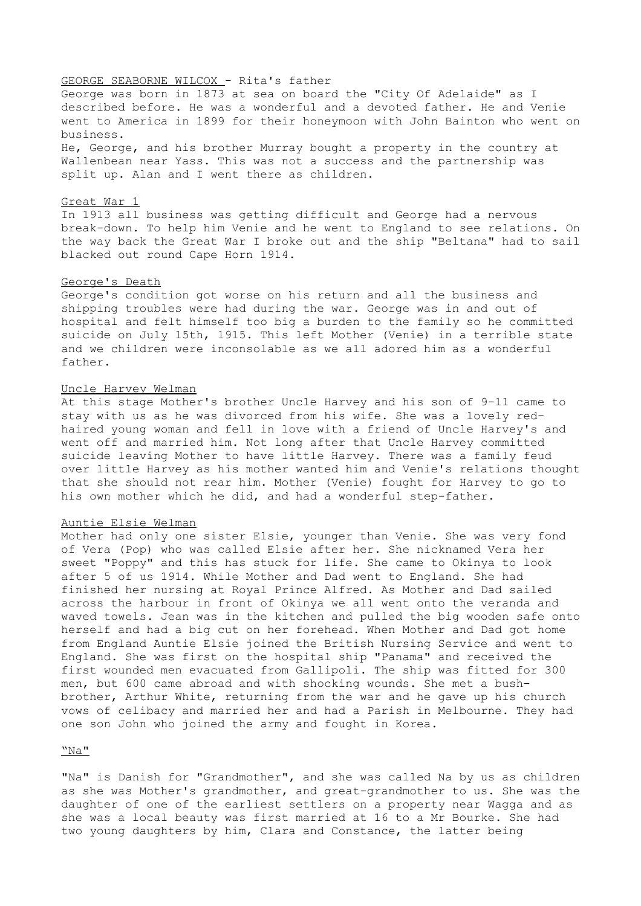# GEORGE SEABORNE WILCOX - Rita's father

George was born in 1873 at sea on board the "City Of Adelaide" as I described before. He was a wonderful and a devoted father. He and Venie went to America in 1899 for their honeymoon with John Bainton who went on business.

He, George, and his brother Murray bought a property in the country at Wallenbean near Yass. This was not a success and the partnership was split up. Alan and I went there as children.

#### Great War 1

In 1913 all business was getting difficult and George had a nervous break-down. To help him Venie and he went to England to see relations. On the way back the Great War I broke out and the ship "Beltana" had to sail blacked out round Cape Horn 1914.

# George's Death

George's condition got worse on his return and all the business and shipping troubles were had during the war. George was in and out of hospital and felt himself too big a burden to the family so he committed suicide on July 15th, 1915. This left Mother (Venie) in a terrible state and we children were inconsolable as we all adored him as a wonderful father.

#### Uncle Harvey Welman

At this stage Mother's brother Uncle Harvey and his son of 9-11 came to stay with us as he was divorced from his wife. She was a lovely redhaired young woman and fell in love with a friend of Uncle Harvey's and went off and married him. Not long after that Uncle Harvey committed suicide leaving Mother to have little Harvey. There was a family feud over little Harvey as his mother wanted him and Venie's relations thought that she should not rear him. Mother (Venie) fought for Harvey to go to his own mother which he did, and had a wonderful step-father.

# Auntie Elsie Welman

Mother had only one sister Elsie, younger than Venie. She was very fond of Vera (Pop) who was called Elsie after her. She nicknamed Vera her sweet "Poppy" and this has stuck for life. She came to Okinya to look after 5 of us 1914. While Mother and Dad went to England. She had finished her nursing at Royal Prince Alfred. As Mother and Dad sailed across the harbour in front of Okinya we all went onto the veranda and waved towels. Jean was in the kitchen and pulled the big wooden safe onto herself and had a big cut on her forehead. When Mother and Dad got home from England Auntie Elsie joined the British Nursing Service and went to England. She was first on the hospital ship "Panama" and received the first wounded men evacuated from Gallipoli. The ship was fitted for 300 men, but 600 came abroad and with shocking wounds. She met a bushbrother, Arthur White, returning from the war and he gave up his church vows of celibacy and married her and had a Parish in Melbourne. They had one son John who joined the army and fought in Korea.

# "Na"

"Na" is Danish for "Grandmother", and she was called Na by us as children as she was Mother's grandmother, and great-grandmother to us. She was the daughter of one of the earliest settlers on a property near Wagga and as she was a local beauty was first married at 16 to a Mr Bourke. She had two young daughters by him, Clara and Constance, the latter being